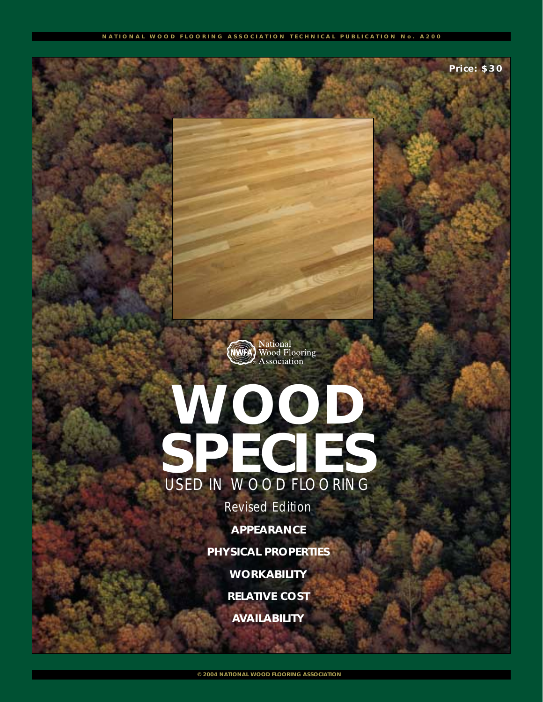**Price: \$30**



# **WOOD SPECIES** USED IN WOOD FLOORING

*Revised Edition*

**APPEARANCE**

**PHYSICAL PROPERTIES**

**WORKABILITY**

**RELATIVE COST**

**AVAILABILITY**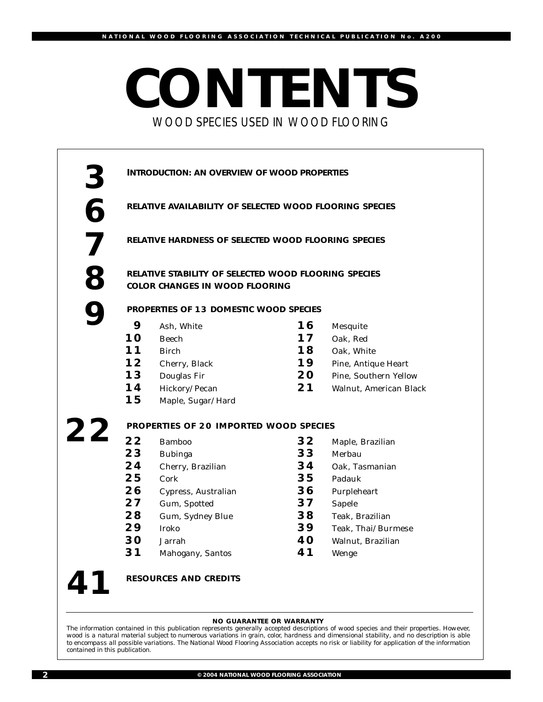## **CONTENTS** WOOD SPECIES USED IN WOOD FLOORING



Wenge



**RESOURCES AND CREDITS**

**NO GUARANTEE OR WARRANTY**

*The information contained in this publication represents generally accepted descriptions of wood species and their properties. However, wood is a natural material subject to numerous variations in grain, color, hardness and dimensional stability, and no description is able to encompass all possible variations. The National Wood Flooring Association accepts no risk or liability for application of the information contained in this publication.*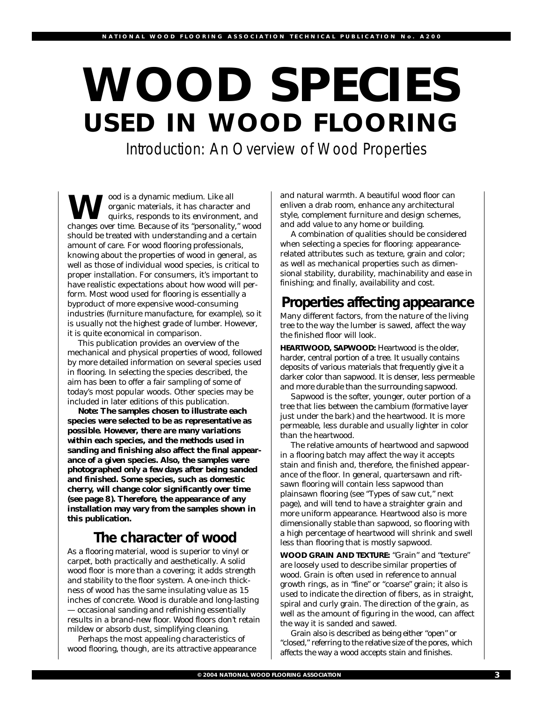# **WOOD SPECIES USED IN WOOD FLOORING**

Introduction: An Overview of Wood Properties

**W**ood is a dynamic medium. Like all<br>
quirks, responds to its environment, and<br>
changes over time. Because of its "perconality." we organic materials, it has character and changes over time. Because of its "personality," wood should be treated with understanding and a certain amount of care. For wood flooring professionals, knowing about the properties of wood in general, as well as those of individual wood species, is critical to proper installation. For consumers, it's important to have realistic expectations about how wood will perform. Most wood used for flooring is essentially a byproduct of more expensive wood-consuming industries (furniture manufacture, for example), so it is usually not the highest grade of lumber. However, it is quite economical in comparison.

This publication provides an overview of the mechanical and physical properties of wood, followed by more detailed information on several species used in flooring. In selecting the species described, the aim has been to offer a fair sampling of some of today's most popular woods. Other species may be included in later editions of this publication.

**Note: The samples chosen to illustrate each species were selected to be as representative as possible. However, there are many variations within each species, and the methods used in sanding and finishing also affect the final appearance of a given species. Also, the samples were photographed only a few days after being sanded and finished. Some species, such as domestic cherry, will change color significantly over time (see page 8). Therefore, the appearance of any installation may vary from the samples shown in this publication.**

## **The character of wood**

As a flooring material, wood is superior to vinyl or carpet, both practically and aesthetically. A solid wood floor is more than a covering; it adds strength and stability to the floor system. A one-inch thickness of wood has the same insulating value as 15 inches of concrete. Wood is durable and long-lasting — occasional sanding and refinishing essentially results in a brand-new floor. Wood floors don't retain mildew or absorb dust, simplifying cleaning.

Perhaps the most appealing characteristics of wood flooring, though, are its attractive appearance and natural warmth. A beautiful wood floor can enliven a drab room, enhance any architectural style, complement furniture and design schemes, and add value to any home or building.

A combination of qualities should be considered when selecting a species for flooring: appearancerelated attributes such as texture, grain and color; as well as mechanical properties such as dimensional stability, durability, machinability and ease in finishing; and finally, availability and cost.

## **Properties affecting appearance**

Many different factors, from the nature of the living tree to the way the lumber is sawed, affect the way the finished floor will look.

**HEARTWOOD, SAPWOOD:** Heartwood is the older, harder, central portion of a tree. It usually contains deposits of various materials that frequently give it a darker color than sapwood. It is denser, less permeable and more durable than the surrounding sapwood.

Sapwood is the softer, younger, outer portion of a tree that lies between the cambium (formative layer just under the bark) and the heartwood. It is more permeable, less durable and usually lighter in color than the heartwood.

The relative amounts of heartwood and sapwood in a flooring batch may affect the way it accepts stain and finish and, therefore, the finished appearance of the floor. In general, quartersawn and riftsawn flooring will contain less sapwood than plainsawn flooring (see "Types of saw cut," next page), and will tend to have a straighter grain and more uniform appearance. Heartwood also is more dimensionally stable than sapwood, so flooring with a high percentage of heartwood will shrink and swell less than flooring that is mostly sapwood.

**WOOD GRAIN AND TEXTURE:** "Grain" and "texture" are loosely used to describe similar properties of wood. Grain is often used in reference to annual growth rings, as in "fine" or "coarse" grain; it also is used to indicate the direction of fibers, as in straight, spiral and curly grain. The direction of the grain, as well as the amount of figuring in the wood, can affect the way it is sanded and sawed.

Grain also is described as being either "open" or "closed," referring to the relative size of the pores, which affects the way a wood accepts stain and finishes.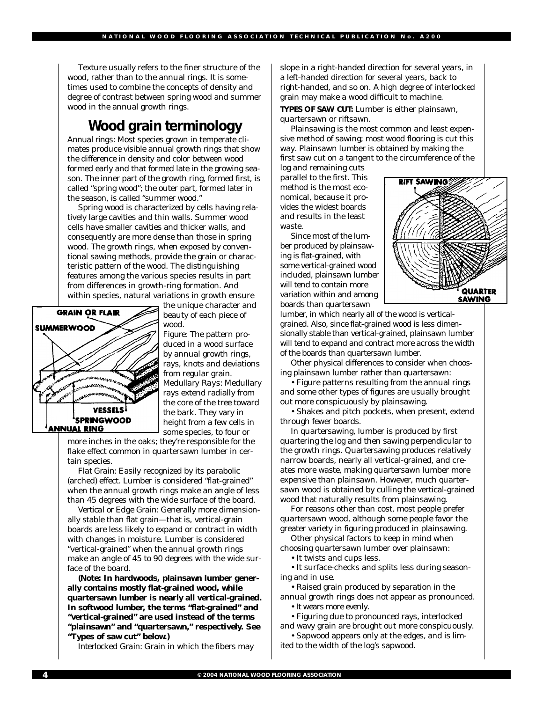Texture usually refers to the finer structure of the wood, rather than to the annual rings. It is sometimes used to combine the concepts of density and degree of contrast between spring wood and summer wood in the annual growth rings.

### **Wood grain terminology**

*Annual rings:* Most species grown in temperate climates produce visible annual growth rings that show the difference in density and color between wood formed early and that formed late in the growing season. The inner part of the growth ring, formed first, is called "spring wood"; the outer part, formed later in the season, is called "summer wood."

Spring wood is characterized by cells having relatively large cavities and thin walls. Summer wood cells have smaller cavities and thicker walls, and consequently are more dense than those in spring wood. The growth rings, when exposed by conventional sawing methods, provide the grain or characteristic pattern of the wood. The distinguishing features among the various species results in part from differences in growth-ring formation. And within species, natural variations in growth ensure



the unique character and beauty of each piece of wood.

*Figure:* The pattern produced in a wood surface by annual growth rings, rays, knots and deviations from regular grain. *Medullary Rays:* Medullary rays extend radially from the core of the tree toward the bark. They vary in height from a few cells in some species, to four or

more inches in the oaks; they're responsible for the flake effect common in quartersawn lumber in certain species.

*Flat Grain:* Easily recognized by its parabolic (arched) effect. Lumber is considered "flat-grained" when the annual growth rings make an angle of less than 45 degrees with the wide surface of the board.

*Vertical or Edge Grain:* Generally more dimensionally stable than flat grain—that is, vertical-grain boards are less likely to expand or contract in width with changes in moisture. Lumber is considered "vertical-grained" when the annual growth rings make an angle of 45 to 90 degrees with the wide surface of the board.

**(Note: In hardwoods, plainsawn lumber generally contains mostly flat-grained wood, while quartersawn lumber is nearly all vertical-grained. In softwood lumber, the terms "flat-grained" and "vertical-grained" are used instead of the terms "plainsawn" and "quartersawn," respectively. See "Types of saw cut" below.)** 

*Interlocked Grain:* Grain in which the fibers may

slope in a right-handed direction for several years, in a left-handed direction for several years, back to right-handed, and so on. A high degree of interlocked grain may make a wood difficult to machine.

#### **TYPES OF SAW CUT:** Lumber is either plainsawn, quartersawn or riftsawn.

Plainsawing is the most common and least expensive method of sawing; most wood flooring is cut this way. Plainsawn lumber is obtained by making the first saw cut on a tangent to the circumference of the

log and remaining cuts parallel to the first. This method is the most economical, because it provides the widest boards and results in the least waste.

Since most of the lumber produced by plainsawing is flat-grained, with some vertical-grained wood included, plainsawn lumber will tend to contain more variation within and among boards than quartersawn



lumber, in which nearly all of the wood is verticalgrained. Also, since flat-grained wood is less dimensionally stable than vertical-grained, plainsawn lumber will tend to expand and contract more across the width of the boards than quartersawn lumber.

Other physical differences to consider when choosing plainsawn lumber rather than quartersawn:

• Figure patterns resulting from the annual rings and some other types of figures are usually brought out more conspicuously by plainsawing.

• Shakes and pitch pockets, when present, extend through fewer boards.

In quartersawing, lumber is produced by first quartering the log and then sawing perpendicular to the growth rings. Quartersawing produces relatively narrow boards, nearly all vertical-grained, and creates more waste, making quartersawn lumber more expensive than plainsawn. However, much quartersawn wood is obtained by culling the vertical-grained wood that naturally results from plainsawing.

For reasons other than cost, most people prefer quartersawn wood, although some people favor the greater variety in figuring produced in plainsawing.

Other physical factors to keep in mind when choosing quartersawn lumber over plainsawn:

• It twists and cups less.

• It surface-checks and splits less during seasoning and in use.

- Raised grain produced by separation in the annual growth rings does not appear as pronounced.
	- It wears more evenly.
- Figuring due to pronounced rays, interlocked and wavy grain are brought out more conspicuously.
- Sapwood appears only at the edges, and is limited to the width of the log's sapwood.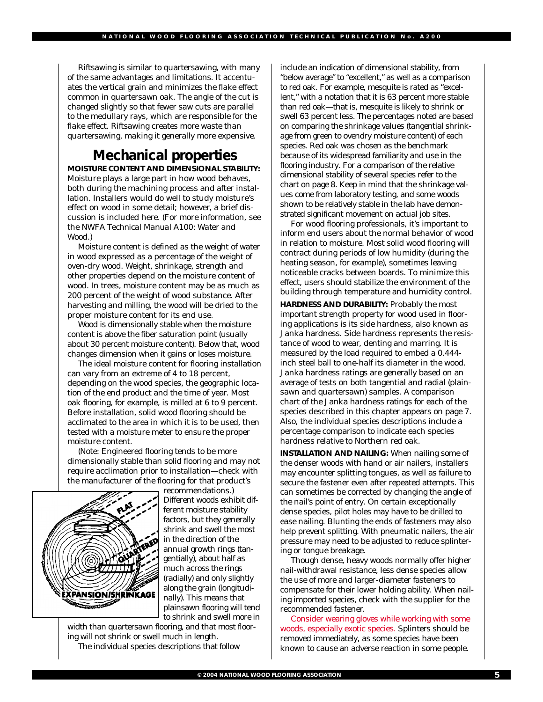Riftsawing is similar to quartersawing, with many of the same advantages and limitations. It accentuates the vertical grain and minimizes the flake effect common in quartersawn oak. The angle of the cut is changed slightly so that fewer saw cuts are parallel to the medullary rays, which are responsible for the flake effect. Riftsawing creates more waste than quartersawing, making it generally more expensive.

## **Mechanical properties**

**MOISTURE CONTENT AND DIMENSIONAL STABILITY:** Moisture plays a large part in how wood behaves, both during the machining process and after installation. Installers would do well to study moisture's effect on wood in some detail; however, a brief discussion is included here. (For more information, see the NWFA *Technical Manual A100: Water and Wood*.)

Moisture content is defined as the weight of water in wood expressed as a percentage of the weight of oven-dry wood. Weight, shrinkage, strength and other properties depend on the moisture content of wood. In trees, moisture content may be as much as 200 percent of the weight of wood substance. After harvesting and milling, the wood will be dried to the proper moisture content for its end use.

Wood is dimensionally stable when the moisture content is above the fiber saturation point (usually about 30 percent moisture content). Below that, wood changes dimension when it gains or loses moisture.

The ideal moisture content for flooring installation can vary from an extreme of 4 to 18 percent, depending on the wood species, the geographic location of the end product and the time of year. Most oak flooring, for example, is milled at 6 to 9 percent. Before installation, solid wood flooring should be acclimated to the area in which it is to be used, then tested with a moisture meter to ensure the proper moisture content.

(Note: Engineered flooring tends to be more dimensionally stable than solid flooring and may not require acclimation prior to installation—check with the manufacturer of the flooring for that product's



recommendations.) Different woods exhibit different moisture stability factors, but they generally shrink and swell the most in the direction of the annual growth rings (tangentially), about half as much across the rings (radially) and only slightly along the grain (longitudinally). This means that plainsawn flooring will tend to shrink and swell more in

width than quartersawn flooring, and that most flooring will not shrink or swell much in length. The individual species descriptions that follow

include an indication of dimensional stability, from "below average" to "excellent," as well as a comparison to red oak. For example, mesquite is rated as "excellent," with a notation that it is 63 percent more stable than red oak—that is, mesquite is likely to shrink or swell 63 percent less. The percentages noted are based on comparing the shrinkage values (tangential shrinkage from green to ovendry moisture content) of each species. Red oak was chosen as the benchmark because of its widespread familiarity and use in the flooring industry. For a comparison of the relative dimensional stability of several species refer to the chart on page 8. Keep in mind that the shrinkage values come from laboratory testing, and some woods shown to be relatively stable in the lab have demonstrated significant movement on actual job sites.

For wood flooring professionals, it's important to inform end users about the normal behavior of wood in relation to moisture. Most solid wood flooring will contract during periods of low humidity (during the heating season, for example), sometimes leaving noticeable cracks between boards. To minimize this effect, users should stabilize the environment of the building through temperature and humidity control.

**HARDNESS AND DURABILITY:** Probably the most important strength property for wood used in flooring applications is its side hardness, also known as Janka hardness. Side hardness represents the resistance of wood to wear, denting and marring. It is measured by the load required to embed a 0.444 inch steel ball to one-half its diameter in the wood. Janka hardness ratings are generally based on an average of tests on both tangential and radial (plainsawn and quartersawn) samples. A comparison chart of the Janka hardness ratings for each of the species described in this chapter appears on page 7. Also, the individual species descriptions include a percentage comparison to indicate each species hardness relative to Northern red oak.

**INSTALLATION AND NAILING:** When nailing some of the denser woods with hand or air nailers, installers may encounter splitting tongues, as well as failure to secure the fastener even after repeated attempts. This can sometimes be corrected by changing the angle of the nail's point of entry. On certain exceptionally dense species, pilot holes may have to be drilled to ease nailing. Blunting the ends of fasteners may also help prevent splitting. With pneumatic nailers, the air pressure may need to be adjusted to reduce splintering or tongue breakage.

Though dense, heavy woods normally offer higher nail-withdrawal resistance, less dense species allow the use of more and larger-diameter fasteners to compensate for their lower holding ability. When nailing imported species, check with the supplier for the recommended fastener.

Consider wearing gloves while working with some woods, especially exotic species. Splinters should be removed immediately, as some species have been known to cause an adverse reaction in some people.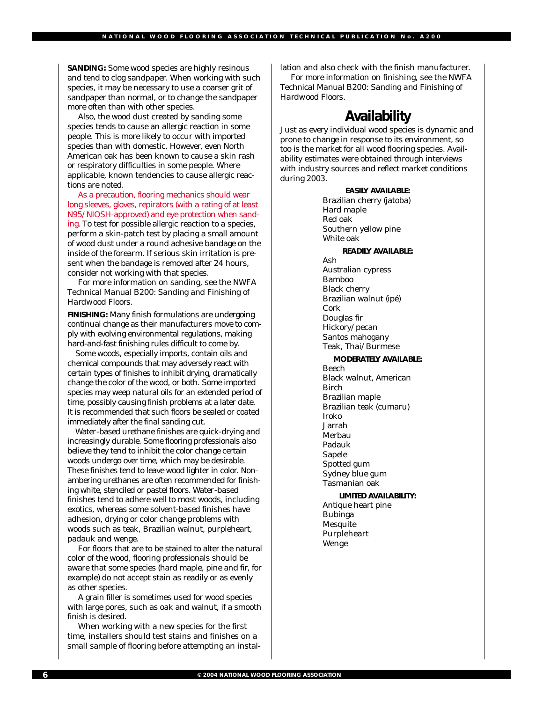**SANDING:** Some wood species are highly resinous and tend to clog sandpaper. When working with such species, it may be necessary to use a coarser grit of sandpaper than normal, or to change the sandpaper more often than with other species.

Also, the wood dust created by sanding some species tends to cause an allergic reaction in some people. This is more likely to occur with imported species than with domestic. However, even North American oak has been known to cause a skin rash or respiratory difficulties in some people. Where applicable, known tendencies to cause allergic reactions are noted.

As a precaution, flooring mechanics should wear long sleeves, gloves, repirators (with a rating of at least N95/NIOSH-approved) and eye protection when sanding. To test for possible allergic reaction to a species, perform a skin-patch test by placing a small amount of wood dust under a round adhesive bandage on the inside of the forearm. If serious skin irritation is present when the bandage is removed after 24 hours, consider not working with that species.

For more information on sanding, see the NWFA *Technical Manual B200: Sanding and Finishing of Hardwood Floors*.

**FINISHING:** Many finish formulations are undergoing continual change as their manufacturers move to comply with evolving environmental regulations, making hard-and-fast finishing rules difficult to come by.

Some woods, especially imports, contain oils and chemical compounds that may adversely react with certain types of finishes to inhibit drying, dramatically change the color of the wood, or both. Some imported species may weep natural oils for an extended period of time, possibly causing finish problems at a later date. It is recommended that such floors be sealed or coated immediately after the final sanding cut.

Water-based urethane finishes are quick-drying and increasingly durable. Some flooring professionals also believe they tend to inhibit the color change certain woods undergo over time, which may be desirable. These finishes tend to leave wood lighter in color. Nonambering urethanes are often recommended for finishing white, stenciled or pastel floors. Water-based finishes tend to adhere well to most woods, including exotics, whereas some solvent-based finishes have adhesion, drying or color change problems with woods such as teak, Brazilian walnut, purpleheart, padauk and wenge.

For floors that are to be stained to alter the natural color of the wood, flooring professionals should be aware that some species (hard maple, pine and fir, for example) do not accept stain as readily or as evenly as other species.

A grain filler is sometimes used for wood species with large pores, such as oak and walnut, if a smooth finish is desired.

When working with a new species for the first time, installers should test stains and finishes on a small sample of flooring before attempting an installation and also check with the finish manufacturer.

For more information on finishing, see the NWFA *Technical Manual B200: Sanding and Finishing of Hardwood Floors*.

#### **Availability**

Just as every individual wood species is dynamic and prone to change in response to its environment, so too is the market for all wood flooring species. Availability estimates were obtained through interviews with industry sources and reflect market conditions during 2003.

#### **EASILY AVAILABLE:**

Brazilian cherry (jatoba) Hard maple Red oak Southern yellow pine White oak

#### **READILY AVAILABLE:**

Ash Australian cypress Bamboo Black cherry Brazilian walnut (ipé) Cork Douglas fir Hickory/pecan Santos mahogany Teak, Thai/Burmese

#### **MODERATELY AVAILABLE:**

Beech Black walnut, American Birch Brazilian maple Brazilian teak (cumaru) Iroko Jarrah Merbau Padauk Sapele Spotted gum Sydney blue gum Tasmanian oak

**LIMITED AVAILABILITY:** Antique heart pine Bubinga

**Mesquite** Purpleheart Wenge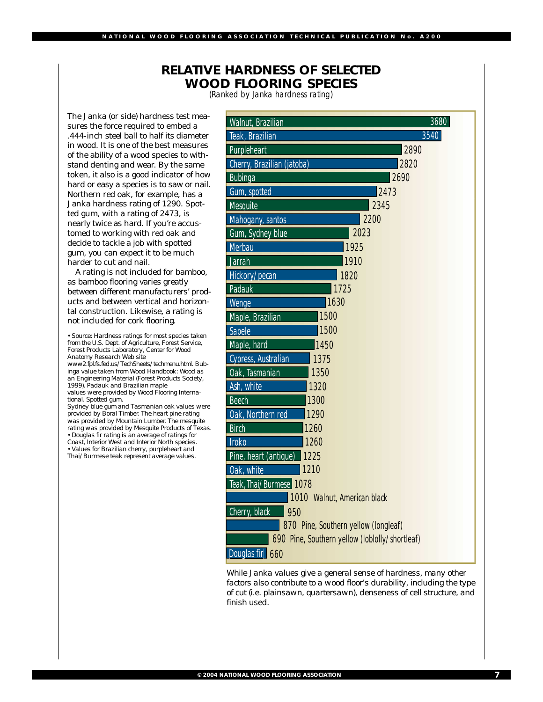#### **RELATIVE HARDNESS OF SELECTED WOOD FLOORING SPECIES**

(Ranked by Janka hardness rating)

The Janka (or side) hardness test measures the force required to embed a .444-inch steel ball to half its diameter in wood. It is one of the best measures of the ability of a wood species to withstand denting and wear. By the same token, it also is a good indicator of how hard or easy a species is to saw or nail. Northern red oak, for example, has a Janka hardness rating of 1290. Spotted gum, with a rating of 2473, is nearly twice as hard. If you're accustomed to working with red oak and decide to tackle a job with spotted gum, you can expect it to be much harder to cut and nail.

A rating is not included for bamboo, as bamboo flooring varies greatly between different manufacturers' products and between vertical and horizontal construction. Likewise, a rating is not included for cork flooring.

*• Source: Hardness ratings for most species taken from the U.S. Dept. of Agriculture, Forest Service, Forest Products Laboratory, Center for Wood Anatomy Research Web site www2.fpl.fs.fed.us/TechSheets/techmenu.html. Bubinga value taken from Wood Handbook: Wood as an Engineering Material (Forest Products Society, 1999). Padauk and Brazilian maple values were provided by Wood Flooring Interna-*

*tional. Spotted gum, Sydney blue gum and Tasmanian oak values were provided by Boral Timber. The heart pine rating was provided by Mountain Lumber. The mesquite rating was provided by Mesquite Products of Texas. • Douglas fir rating is an average of ratings for Coast, Interior West and Interior North species. • Values for Brazilian cherry, purpleheart and Thai/Burmese teak represent average values.*

| 3680<br>Walnut, Brazilian                      |  |  |
|------------------------------------------------|--|--|
| 3540<br>Teak, Brazilian                        |  |  |
| 2890<br>Purpleheart                            |  |  |
| Cherry, Brazilian (jatoba)<br>2820             |  |  |
| 2690<br>Bubinga                                |  |  |
| Gum, spotted<br>2473                           |  |  |
| <b>Mesquite</b><br>2345                        |  |  |
| 2200<br>Mahogany, santos                       |  |  |
| 2023<br>Gum, Sydney blue                       |  |  |
| <b>Merbau</b><br>1925                          |  |  |
| Jarrah<br>1910                                 |  |  |
| Hickory/pecan<br>1820                          |  |  |
| Padauk<br>1725                                 |  |  |
| 1630<br>Wenge                                  |  |  |
| 1500<br>Maple, Brazilian                       |  |  |
| 1500<br>Sapele                                 |  |  |
| Maple, hard<br>1450                            |  |  |
| Cypress, Australian<br>1375                    |  |  |
| Oak, Tasmanian<br>1350                         |  |  |
| Ash, white<br>1320                             |  |  |
| 1300<br><b>Beech</b>                           |  |  |
| Oak, Northern red<br>1290                      |  |  |
| <b>Birch</b><br>1260                           |  |  |
| 1260<br><b>Iroko</b>                           |  |  |
| Pine, heart (antique)<br>1225                  |  |  |
| 1210<br>Oak, white                             |  |  |
| Teak, Thai/Burmese 1078                        |  |  |
| 1010 Walnut, American black                    |  |  |
| Cherry, black<br>950                           |  |  |
| 870 Pine, Southern yellow (longleaf)           |  |  |
| 690 Pine, Southern yellow (loblolly/shortleaf) |  |  |
| Douglas fir<br>660                             |  |  |

While Janka values give a general sense of hardness, many other *factors also contribute to a wood floor's durability, including the type of cut (i.e. plainsawn, quartersawn), denseness of cell structure, and finish used.*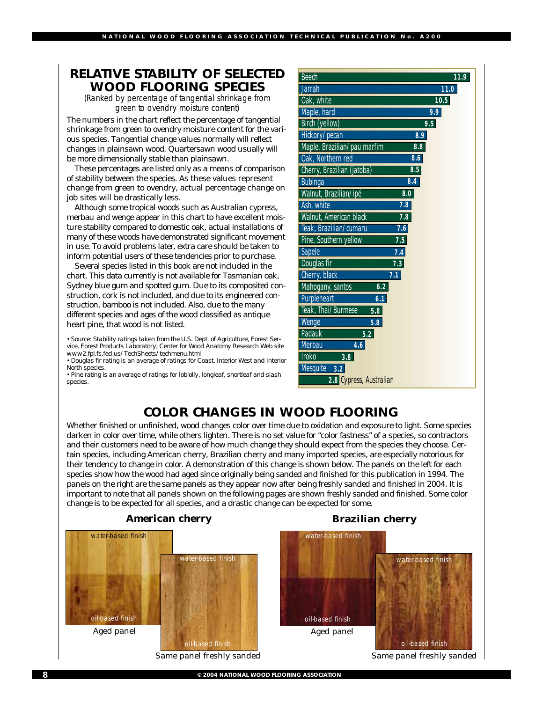#### **RELATIVE STABILITY OF SELECTED WOOD FLOORING SPECIES**

(Ranked by percentage of tangential shrinkage from green to ovendry moisture content)

The numbers in the chart reflect the percentage of tangential shrinkage from green to ovendry moisture content for the various species. Tangential change values normally will reflect changes in plainsawn wood. Quartersawn wood usually will be more dimensionally stable than plainsawn.

These percentages are listed only as a means of comparison of stability between the species. As these values represent change from green to ovendry, actual percentage change on job sites will be drastically less.

Although some tropical woods such as Australian cypress, merbau and wenge appear in this chart to have excellent moisture stability compared to domestic oak, actual installations of many of these woods have demonstrated significant movement in use. To avoid problems later, extra care should be taken to inform potential users of these tendencies prior to purchase.

Several species listed in this book are not included in the chart. This data currently is not available for Tasmanian oak, Sydney blue gum and spotted gum. Due to its composited construction, cork is not included, and due to its engineered construction, bamboo is not included. Also, due to the many different species and ages of the wood classified as antique heart pine, that wood is not listed.

*• Source: Stability ratings taken from the U.S. Dept. of Agriculture, Forest Service, Forest Products Laboratory, Center for Wood Anatomy Research Web site www2.fpl.fs.fed.us/TechSheets/techmenu.html*

*• Douglas fir rating is an average of ratings for Coast, Interior West and Interior North species.*

*• Pine rating is an average of ratings for loblolly, longleaf, shortleaf and slash species.*

| <b>Beech</b>                | 11.9 |
|-----------------------------|------|
| <b>Jarrah</b>               | 11.0 |
| Oak, white                  | 10.5 |
| Maple, hard                 | 9.9  |
| <b>Birch (yellow)</b>       | 9.5  |
| Hickory/pecan               | 8.9  |
| Maple, Brazilian/pau marfim | 8.8  |
| Oak, Northern red           | 8.6  |
| Cherry, Brazilian (jatoba)  | 8.5  |
| <b>Bubinga</b>              | 8.4  |
| Walnut, Brazilian/ipé       | 8.0  |
| Ash, white                  | 7.8  |
| Walnut, American black      | 7.8  |
| Teak, Brazilian/cumaru      | 7.6  |
| Pine, Southern yellow       | 7.5  |
| <b>Sapele</b>               | 7.4  |
| Douglas fir                 | 7.3  |
| Cherry, black               | 7.1  |
| Mahogany, santos<br>6.2     |      |
| Purpleheart<br>6.1          |      |
| Teak, Thai/Burmese<br>5.8   |      |
| Wenge<br>5.8                |      |
| <b>Padauk</b><br>5.2        |      |
| <b>Merbau</b><br>4.6        |      |
| <b>Iroko</b><br>3.8         |      |
| <b>Mesquite</b><br>3.2      |      |
| 2.8 Cypress, Australian     |      |

#### **COLOR CHANGES IN WOOD FLOORING**

Whether finished or unfinished, wood changes color over time due to oxidation and exposure to light. Some species darken in color over time, while others lighten. There is no set value for "color fastness" of a species, so contractors and their customers need to be aware of how much change they should expect from the species they choose. Certain species, including American cherry, Brazilian cherry and many imported species, are especially notorious for their tendency to change in color. A demonstration of this change is shown below. The panels on the left for each species show how the wood had aged since originally being sanded and finished for this publication in 1994. The panels on the right are the same panels as they appear now after being freshly sanded and finished in 2004. It is important to note that all panels shown on the following pages are shown freshly sanded and finished. Some color change is to be expected for all species, and a drastic change can be expected for some.

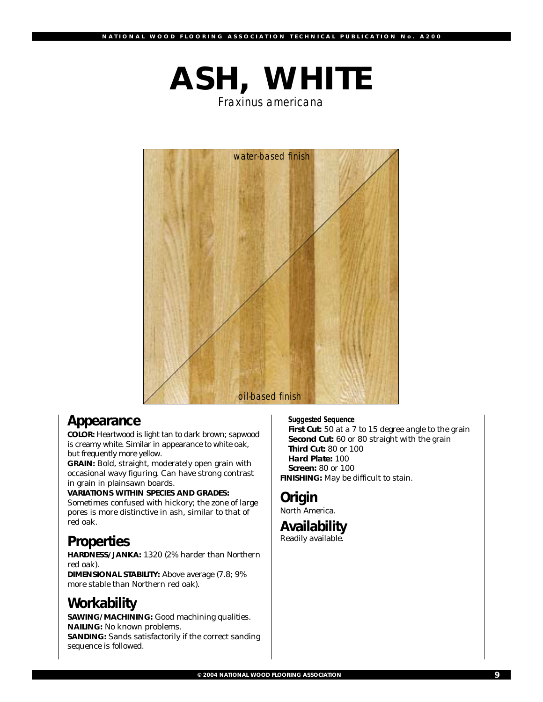# **ASH, WHITE**

*Fraxinus americana*



## **Appearance**

**COLOR:** Heartwood is light tan to dark brown; sapwood is creamy white. Similar in appearance to white oak, but frequently more yellow.

**GRAIN:** Bold, straight, moderately open grain with occasional wavy figuring*.* Can have strong contrast in grain in plainsawn boards.

**VARIATIONS WITHIN SPECIES AND GRADES:** Sometimes confused with hickory; the zone of large pores is more distinctive in ash, similar to that of red oak.

## **Properties**

**HARDNESS/JANKA:** 1320 (2% harder than Northern red oak). **DIMENSIONAL STABILITY:** Above average (7.8; 9% more stable than Northern red oak).

## **Workability**

**SAWING/MACHINING:** Good machining qualities. **NAILING:** No known problems. **SANDING:** Sands satisfactorily if the correct sanding sequence is followed.

*Suggested Sequence*

First Cut: 50 at a 7 to 15 degree angle to the grain **Second Cut:** 60 or 80 straight with the grain **Third Cut:** 80 or 100 **Hard Plate:** 100 **Screen:** 80 or 100 **FINISHING:** May be difficult to stain.

#### **Origin**

North America.

#### **Availability**

Readily available.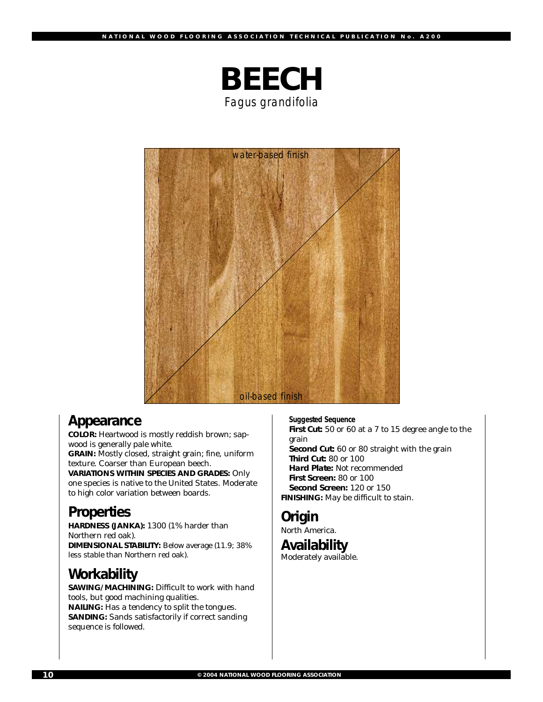

*water-based finish oil-based finish*

### **Appearance**

**COLOR:** Heartwood is mostly reddish brown; sapwood is generally pale white. **GRAIN:** Mostly closed, straight grain; fine, uniform texture. Coarser than European beech. **VARIATIONS WITHIN SPECIES AND GRADES:** Only one species is native to the United States. Moderate to high color variation between boards.

## **Properties**

**HARDNESS (JANKA):** 1300 (1% harder than Northern red oak). **DIMENSIONAL STABILITY:** Below average (11.9; 38% less stable than Northern red oak).

## **Workability**

**SAWING/MACHINING:** Difficult to work with hand tools, but good machining qualities. **NAILING:** Has a tendency to split the tongues. **SANDING:** Sands satisfactorily if correct sanding sequence is followed.

*Suggested Sequence* **First Cut:** 50 or 60 at a 7 to 15 degree angle to the grain **Second Cut:** 60 or 80 straight with the grain **Third Cut:** 80 or 100 **Hard Plate:** Not recommended **First Screen:** 80 or 100 **Second Screen:** 120 or 150 **FINISHING:** May be difficult to stain.

## **Origin**

North America.

#### **Availability**

Moderately available.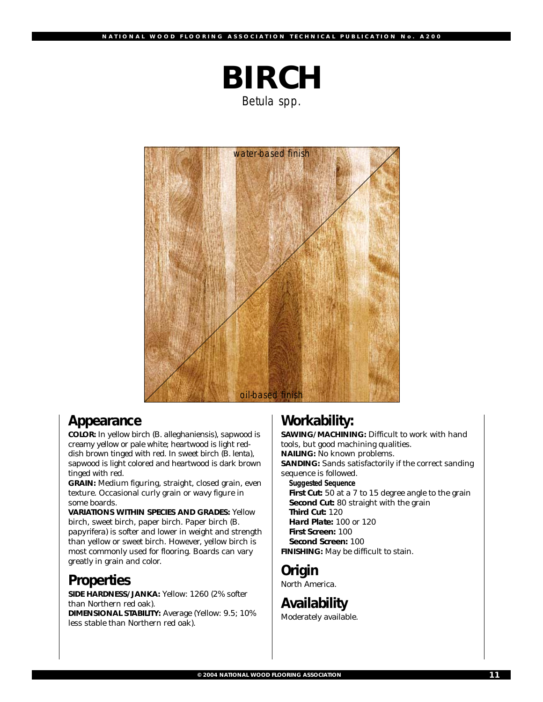

*Betula spp.*



#### **Appearance**

**COLOR:** In yellow birch (*B. alleghaniensis)*, sapwood is creamy yellow or pale white; heartwood is light reddish brown tinged with red. In sweet birch (*B. lenta*), sapwood is light colored and heartwood is dark brown tinged with red.

**GRAIN:** Medium figuring, straight, closed grain, even texture. Occasional curly grain or wavy figure in some boards.

**VARIATIONS WITHIN SPECIES AND GRADES:** Yellow birch, sweet birch, paper birch. Paper birch (*B. papyrifera*) is softer and lower in weight and strength than yellow or sweet birch. However, yellow birch is most commonly used for flooring. Boards can vary greatly in grain and color.

## **Properties**

**SIDE HARDNESS/JANKA:** Yellow: 1260 (2% softer than Northern red oak).

**DIMENSIONAL STABILITY:** Average (Yellow: 9.5; 10% less stable than Northern red oak).

## **Workability:**

**SAWING/MACHINING:** Difficult to work with hand tools, but good machining qualities. **NAILING:** No known problems. **SANDING:** Sands satisfactorily if the correct sanding sequence is followed. *Suggested Sequence* **First Cut:** 50 at a 7 to 15 degree angle to the grain

**Second Cut:** 80 straight with the grain **Third Cut:** 120 **Hard Plate:** 100 or 120 **First Screen:** 100

**Second Screen:** 100 **FINISHING:** May be difficult to stain.

### **Origin**

North America.

**Availability** Moderately available.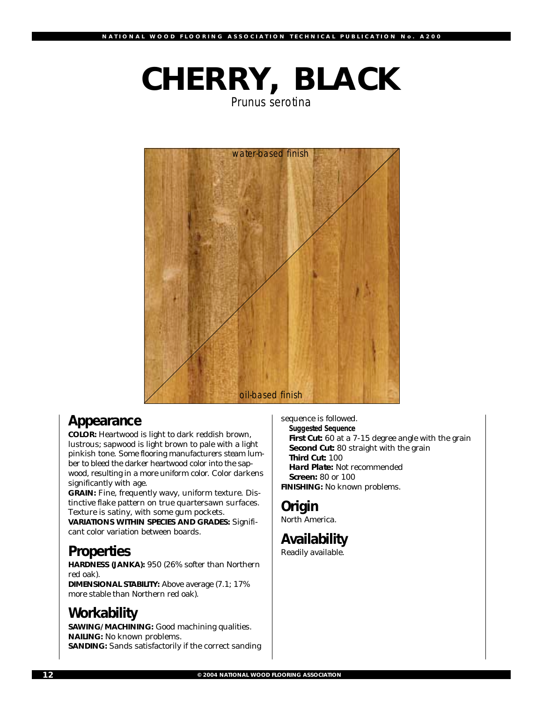# **CHERRY, BLACK**

*Prunus serotina*



## **Appearance**

**COLOR:** Heartwood is light to dark reddish brown, lustrous; sapwood is light brown to pale with a light pinkish tone. Some flooring manufacturers steam lumber to bleed the darker heartwood color into the sapwood, resulting in a more uniform color. Color darkens significantly with age.

**GRAIN:** Fine, frequently wavy, uniform texture. Distinctive flake pattern on true quartersawn surfaces. Texture is satiny, with some gum pockets.

**VARIATIONS WITHIN SPECIES AND GRADES:** Significant color variation between boards.

## **Properties**

**HARDNESS (JANKA):** 950 (26% softer than Northern red oak). **DIMENSIONAL STABILITY:** Above average (7.1; 17%

more stable than Northern red oak).

## **Workability**

**SAWING/MACHINING:** Good machining qualities. **NAILING:** No known problems. **SANDING:** Sands satisfactorily if the correct sanding sequence is followed.

*Suggested Sequence* **First Cut:** 60 at a 7-15 degree angle with the grain **Second Cut:** 80 straight with the grain **Third Cut:** 100 **Hard Plate:** Not recommended **Screen:** 80 or 100 **FINISHING:** No known problems.

## **Origin**

North America.

## **Availability**

Readily available.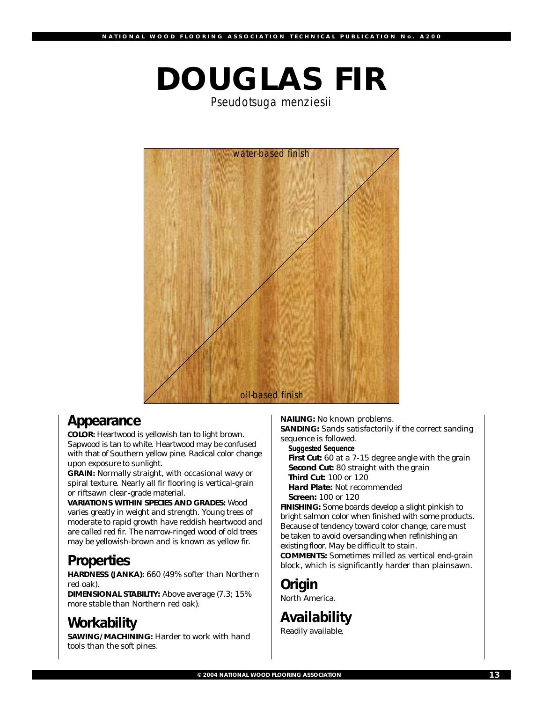# **DOUGLAS FIR**

*Pseudotsuga menziesii*



### **Appearance**

**COLOR:** Heartwood is yellowish tan to light brown. Sapwood is tan to white. Heartwood may be confused with that of Southern yellow pine. Radical color change upon exposure to sunlight.

**GRAIN:** Normally straight, with occasional wavy or spiral texture. Nearly all fir flooring is vertical-grain or riftsawn clear-grade material.

**VARIATIONS WITHIN SPECIES AND GRADES:** Wood varies greatly in weight and strength. Young trees of moderate to rapid growth have reddish heartwood and are called red fir. The narrow-ringed wood of old trees may be yellowish-brown and is known as yellow fir.

## **Properties**

**HARDNESS (JANKA):** 660 (49% softer than Northern red oak).

**DIMENSIONAL STABILITY:** Above average (7.3; 15% more stable than Northern red oak).

## **Workability**

**SAWING/MACHINING: Harder to work with hand** tools than the soft pines.

**NAILING:** No known problems. **SANDING:** Sands satisfactorily if the correct sanding

sequence is followed. *Suggested Sequence*

**First Cut:** 60 at a 7-15 degree angle with the grain **Second Cut:** 80 straight with the grain **Third Cut:** 100 or 120 **Hard Plate:** Not recommended

**Screen:** 100 or 120

**FINISHING:** Some boards develop a slight pinkish to bright salmon color when finished with some products. Because of tendency toward color change, care must be taken to avoid oversanding when refinishing an existing floor. May be difficult to stain. **COMMENTS:** Sometimes milled as vertical end-grain

block, which is significantly harder than plainsawn.

## **Origin**

North America.

**Availability** Readily available.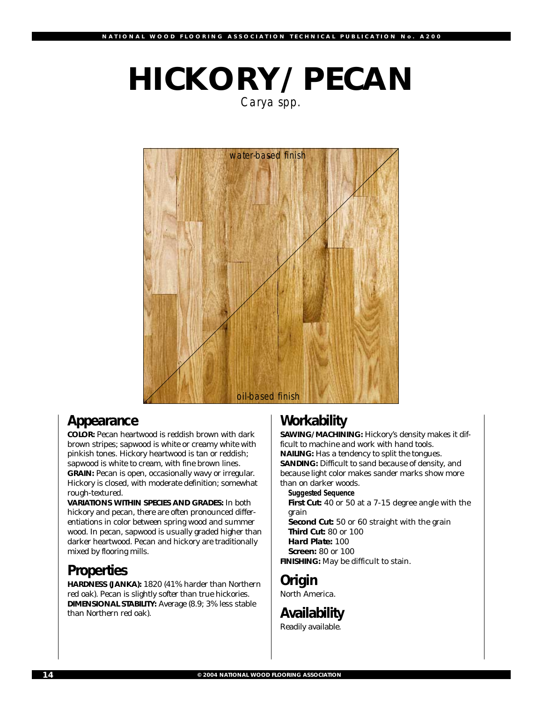# **HICKORY/PECAN**

*Carya spp.*



## **Appearance**

**COLOR:** Pecan heartwood is reddish brown with dark brown stripes; sapwood is white or creamy white with pinkish tones. Hickory heartwood is tan or reddish; sapwood is white to cream, with fine brown lines. **GRAIN:** Pecan is open, occasionally wavy or irregular. Hickory is closed, with moderate definition; somewhat rough-textured.

**VARIATIONS WITHIN SPECIES AND GRADES:** In both hickory and pecan, there are often pronounced differentiations in color between spring wood and summer wood. In pecan, sapwood is usually graded higher than darker heartwood. Pecan and hickory are traditionally mixed by flooring mills.

## **Properties**

**HARDNESS (JANKA):** 1820 (41% harder than Northern red oak). Pecan is slightly softer than true hickories. **DIMENSIONAL STABILITY:** Average (8.9; 3% less stable than Northern red oak).

## **Workability**

**SAWING/MACHINING:** Hickory's density makes it difficult to machine and work with hand tools. **NAILING:** Has a tendency to split the tongues. **SANDING:** Difficult to sand because of density, and because light color makes sander marks show more than on darker woods. *Suggested Sequence*

**First Cut:** 40 or 50 at a 7-15 degree angle with the grain

**Second Cut:** 50 or 60 straight with the grain **Third Cut:** 80 or 100

**Hard Plate:** 100

**Screen:** 80 or 100

**FINISHING:** May be difficult to stain.

## **Origin**

North America.

## **Availability**

Readily available.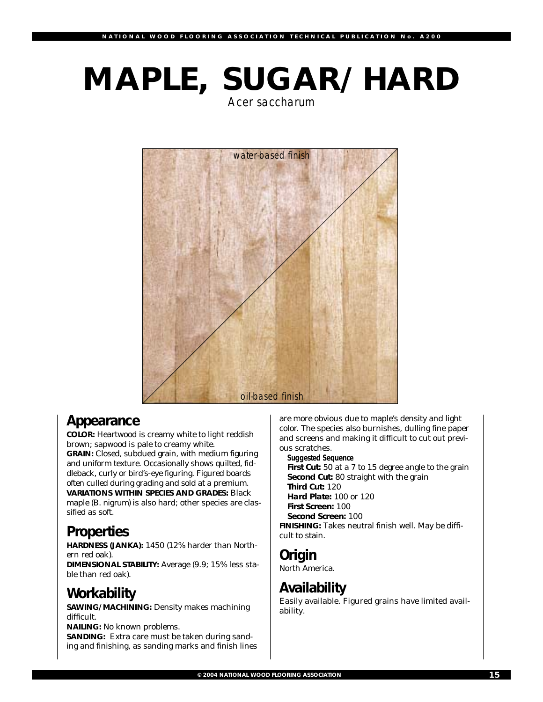# **MAPLE, SUGAR/HARD**

*Acer saccharum*



## **Appearance**

**COLOR:** Heartwood is creamy white to light reddish brown; sapwood is pale to creamy white. **GRAIN:** Closed, subdued grain, with medium figuring and uniform texture. Occasionally shows quilted, fiddleback, curly or bird's-eye figuring. Figured boards often culled during grading and sold at a premium. **VARIATIONS WITHIN SPECIES AND GRADES:** Black maple (*B. nigrum)* is also hard; other species are classified as soft.

## **Properties**

**HARDNESS (JANKA):** 1450 (12% harder than Northern red oak).

**DIMENSIONAL STABILITY:** Average (9.9; 15% less stable than red oak).

## **Workability**

**SAWING/MACHINING: Density makes machining** difficult.

**NAILING:** No known problems. **SANDING:** Extra care must be taken during sanding and finishing, as sanding marks and finish lines are more obvious due to maple's density and light color. The species also burnishes, dulling fine paper and screens and making it difficult to cut out previous scratches.

*Suggested Sequence*

**First Cut:** 50 at a 7 to 15 degree angle to the grain **Second Cut:** 80 straight with the grain **Third Cut:** 120 **Hard Plate:** 100 or 120 **First Screen:** 100 **Second Screen:** 100 **FINISHING:** Takes neutral finish well. May be difficult to stain.

## **Origin**

North America.

## **Availability**

Easily available. Figured grains have limited availability.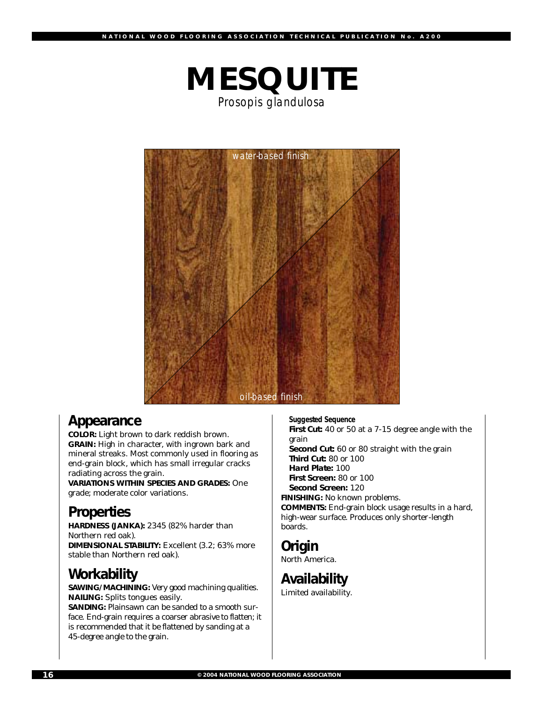

*Prosopis glandulosa*



### **Appearance**

**COLOR:** Light brown to dark reddish brown. **GRAIN:** High in character, with ingrown bark and mineral streaks. Most commonly used in flooring as end-grain block, which has small irregular cracks radiating across the grain.

**VARIATIONS WITHIN SPECIES AND GRADES:** One grade; moderate color variations.

## **Properties**

**HARDNESS (JANKA):** 2345 (82% harder than Northern red oak). **DIMENSIONAL STABILITY: Excellent (3.2; 63% more** stable than Northern red oak).

## **Workability**

**SAWING/MACHINING:** Very good machining qualities. **NAILING:** Splits tongues easily.

**SANDING:** Plainsawn can be sanded to a smooth surface. End-grain requires a coarser abrasive to flatten; it is recommended that it be flattened by sanding at a 45-degree angle to the grain.

*Suggested Sequence* **First Cut:** 40 or 50 at a 7-15 degree angle with the grain **Second Cut:** 60 or 80 straight with the grain **Third Cut:** 80 or 100 **Hard Plate:** 100 **First Screen:** 80 or 100 **Second Screen:** 120 **FINISHING:** No known problems. **COMMENTS:** End-grain block usage results in a hard, high-wear surface. Produces only shorter-length boards.

## **Origin**

North America.

**Availability** Limited availability.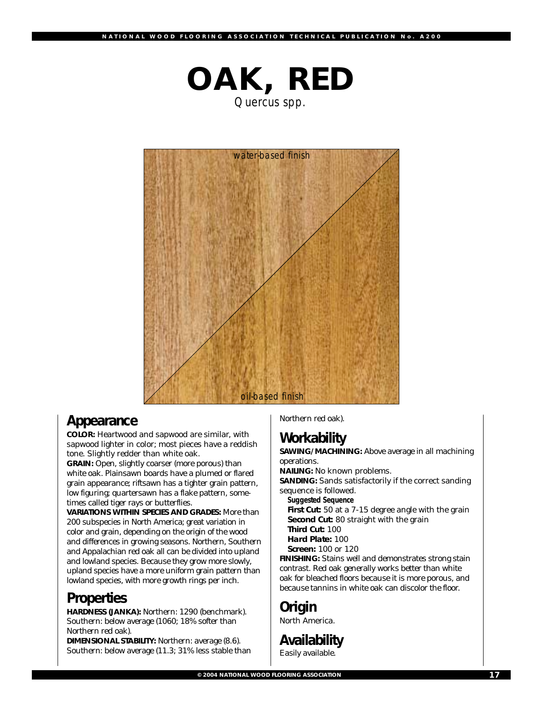



### **Appearance**

**COLOR:** Heartwood and sapwood are similar, with sapwood lighter in color; most pieces have a reddish tone. Slightly redder than white oak.

**GRAIN:** Open, slightly coarser (more porous) than white oak. Plainsawn boards have a plumed or flared grain appearance; riftsawn has a tighter grain pattern, low figuring; quartersawn has a flake pattern, sometimes called tiger rays or butterflies.

**VARIATIONS WITHIN SPECIES AND GRADES:** More than 200 subspecies in North America; great variation in color and grain, depending on the origin of the wood and differences in growing seasons. Northern, Southern and Appalachian red oak all can be divided into upland and lowland species. Because they grow more slowly, upland species have a more uniform grain pattern than lowland species, with more growth rings per inch.

## **Properties**

**HARDNESS (JANKA):** Northern: 1290 (benchmark). Southern: below average (1060; 18% softer than Northern red oak).

**DIMENSIONAL STABILITY:** Northern: average (8.6). Southern: below average (11.3; 31% less stable than Northern red oak).

## **Workability**

**SAWING/MACHINING:** Above average in all machining operations.

**NAILING:** No known problems. **SANDING:** Sands satisfactorily if the correct sanding sequence is followed. *Suggested Sequence* **First Cut:** 50 at a 7-15 degree angle with the grain

**Second Cut:** 80 straight with the grain **Third Cut:** 100

**Hard Plate:** 100

**Screen:** 100 or 120

**FINISHING:** Stains well and demonstrates strong stain contrast. Red oak generally works better than white oak for bleached floors because it is more porous, and because tannins in white oak can discolor the floor.

#### **Origin** North America.

**Availability**

Easily available.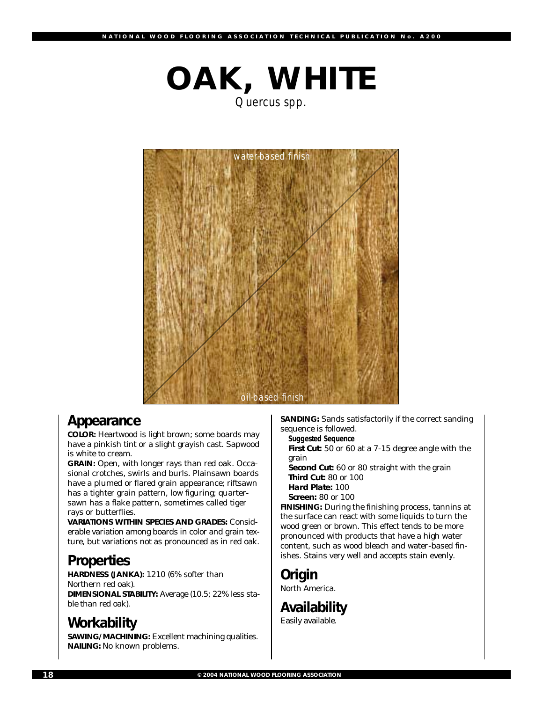

*Quercus spp.*



### **Appearance**

**COLOR:** Heartwood is light brown; some boards may have a pinkish tint or a slight grayish cast. Sapwood is white to cream.

**GRAIN:** Open, with longer rays than red oak. Occasional crotches, swirls and burls. Plainsawn boards have a plumed or flared grain appearance; riftsawn has a tighter grain pattern, low figuring; quartersawn has a flake pattern, sometimes called tiger rays or butterflies.

**VARIATIONS WITHIN SPECIES AND GRADES:** Considerable variation among boards in color and grain texture, but variations not as pronounced as in red oak.

## **Properties**

**HARDNESS (JANKA):** 1210 (6% softer than Northern red oak). **DIMENSIONAL STABILITY:** Average (10.5; 22% less stable than red oak).

## **Workability**

**SAWING/MACHINING:** Excellent machining qualities. **NAILING:** No known problems.

**SANDING:** Sands satisfactorily if the correct sanding sequence is followed.

*Suggested Sequence* **First Cut:** 50 or 60 at a 7-15 degree angle with the grain **Second Cut:** 60 or 80 straight with the grain **Third Cut:** 80 or 100 **Hard Plate:** 100

**Screen:** 80 or 100

**FINISHING:** During the finishing process, tannins at the surface can react with some liquids to turn the wood green or brown. This effect tends to be more pronounced with products that have a high water content, such as wood bleach and water-based finishes. Stains very well and accepts stain evenly.

## **Origin**

North America.

## **Availability**

Easily available.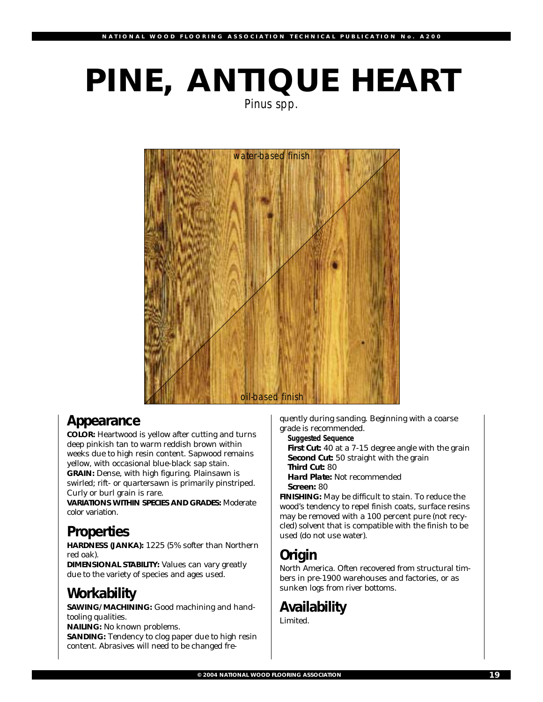# **PINE, ANTIQUE HEART**

*Pinus spp.*



## **Appearance**

**COLOR:** Heartwood is yellow after cutting and turns deep pinkish tan to warm reddish brown within weeks due to high resin content. Sapwood remains yellow, with occasional blue-black sap stain. **GRAIN:** Dense, with high figuring. Plainsawn is swirled; rift- or quartersawn is primarily pinstriped. Curly or burl grain is rare.

**VARIATIONS WITHIN SPECIES AND GRADES:** Moderate color variation.

## **Properties**

**HARDNESS (JANKA):** 1225 (5% softer than Northern red oak).

**DIMENSIONAL STABILITY:** Values can vary greatly due to the variety of species and ages used.

## **Workability**

**SAWING/MACHINING:** Good machining and handtooling qualities.

**NAILING:** No known problems.

**SANDING:** Tendency to clog paper due to high resin content. Abrasives will need to be changed fre-

quently during sanding. Beginning with a coarse grade is recommended.

*Suggested Sequence*

**First Cut:** 40 at a 7-15 degree angle with the grain **Second Cut:** 50 straight with the grain

**Third Cut:** 80

**Hard Plate:** Not recommended **Screen:** 80

**FINISHING:** May be difficult to stain. To reduce the wood's tendency to repel finish coats, surface resins may be removed with a 100 percent pure (not recycled) solvent that is compatible with the finish to be used (do not use water).

## **Origin**

North America. Often recovered from structural timbers in pre-1900 warehouses and factories, or as sunken logs from river bottoms.

## **Availability**

Limited.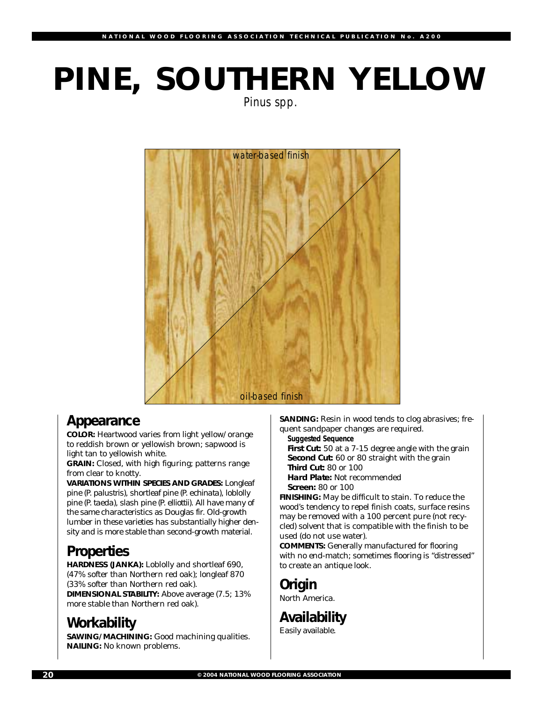# **PINE, SOUTHERN YELLOW**

*Pinus spp.*



## **Appearance**

**COLOR:** Heartwood varies from light yellow/orange to reddish brown or yellowish brown; sapwood is light tan to yellowish white.

**GRAIN:** Closed, with high figuring; patterns range from clear to knotty.

**VARIATIONS WITHIN SPECIES AND GRADES:** Longleaf pine (*P. palustris*), shortleaf pine (*P. echinata*), loblolly pine (*P. taeda*), slash pine (*P. elliottii*). All have many of the same characteristics as Douglas fir. Old-growth lumber in these varieties has substantially higher density and is more stable than second-growth material.

## **Properties**

**HARDNESS (JANKA):** Loblolly and shortleaf 690, (47% softer than Northern red oak); longleaf 870 (33% softer than Northern red oak).

**DIMENSIONAL STABILITY:** Above average (7.5; 13% more stable than Northern red oak).

## **Workability**

**SAWING/MACHINING:** Good machining qualities. **NAILING:** No known problems.

**SANDING:** Resin in wood tends to clog abrasives; frequent sandpaper changes are required.

*Suggested Sequence*

**First Cut:** 50 at a 7-15 degree angle with the grain **Second Cut:** 60 or 80 straight with the grain **Third Cut:** 80 or 100

**Hard Plate:** Not recommended **Screen:** 80 or 100

**FINISHING:** May be difficult to stain. To reduce the wood's tendency to repel finish coats, surface resins may be removed with a 100 percent pure (not recycled) solvent that is compatible with the finish to be used (do not use water).

**COMMENTS:** Generally manufactured for flooring with no end-match; sometimes flooring is "distressed" to create an antique look.

## **Origin**

North America.

## **Availability**

Easily available.